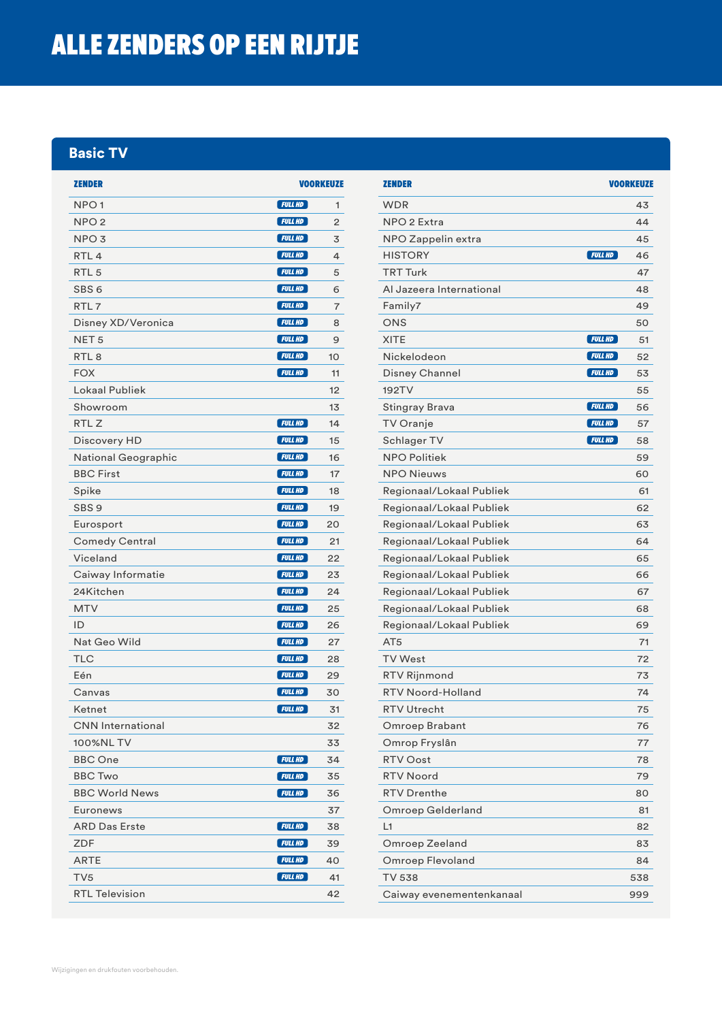## ALLE ZENDERS OP EEN RIJTJE

#### Basic TV

| <b>ZENDER</b>            | <b>VOORKEUZE</b> |    |
|--------------------------|------------------|----|
| NPO <sub>1</sub>         | $[$ FULL HD $]$  | 1  |
| NPO <sub>2</sub>         | <b>FULL HD</b>   | 2  |
| NPO <sub>3</sub>         | $[$ FULL HD $]$  | 3  |
| RTL <sub>4</sub>         | $[$ FULL HD $]$  | 4  |
| RTL <sub>5</sub>         | $[$ FULL HD $]$  | 5  |
| SBS <sub>6</sub>         | FULLHD           | 6  |
| RTL <sub>7</sub>         | FULLHD           | 7  |
| Disney XD/Veronica       | $[$ FULL HD $]$  | 8  |
| NET <sub>5</sub>         | $[$ FULL HD $]$  | 9  |
| RTL <sub>8</sub>         | FULLHD           | 10 |
| <b>FOX</b>               | FULLHD           | 11 |
| Lokaal Publiek           |                  | 12 |
| Showroom                 |                  | 13 |
| RTL <sub>Z</sub>         | $[$ FULL HD $]$  | 14 |
| Discovery HD             | $[$ FULL HD $]$  | 15 |
| National Geographic      | FULLHD           | 16 |
| <b>BBC First</b>         | $[$ FULL HD $]$  | 17 |
| Spike                    | <b>FULL HD</b>   | 18 |
| SBS <sub>9</sub>         | $[$ FULL HD $]$  | 19 |
| Eurosport                | $[$ FULL HD $]$  | 20 |
| <b>Comedy Central</b>    | $[$ FULL HD $]$  | 21 |
| Viceland                 | $[$ FULL HD $]$  | 22 |
| Caiway Informatie        | $[$ FULL HD $]$  | 23 |
| 24Kitchen                | $[$ FULL HD $]$  | 24 |
| <b>MTV</b>               | $[$ FULL HD $]$  | 25 |
| ID                       | FULLHD           | 26 |
| Nat Geo Wild             | FWLLHD           | 27 |
| TLC                      | $[$ FULL HD $]$  | 28 |
| Eén                      | $[$ FULL HD $]$  | 29 |
| Canvas                   | $[$ FULL HD $]$  | 30 |
| Ketnet                   | <b>FULL HD</b>   | 31 |
| <b>CNN</b> International |                  | 32 |
| 100%NL TV                |                  | 33 |
| <b>BBC</b> One           | <b>FULL HD</b>   | 34 |
| <b>BBC Two</b>           | $[$ FULL HD $]$  | 35 |
| <b>BBC World News</b>    | $[$ FULL HD $]$  | 36 |
| Euronews                 |                  | 37 |
| <b>ARD Das Erste</b>     | $[$ FULL HD $]$  | 38 |
| ZDF                      | $[$ FULL HD $]$  | 39 |
| ARTE                     | $[$ FULL HD $]$  | 40 |
| TV5                      | <b>FULL HD</b>   | 41 |
| <b>RTL Television</b>    |                  | 42 |

| <b>ZENDER</b>            |                 | <b>VOORKEUZE</b> |
|--------------------------|-----------------|------------------|
| <b>WDR</b>               |                 | 43               |
| NPO 2 Extra              |                 | 44               |
| NPO Zappelin extra       |                 | 45               |
| <b>HISTORY</b>           | $[$ FULL HD $]$ | 46               |
| <b>TRT Turk</b>          |                 | 47               |
| Al Jazeera International |                 | 48               |
| Family7                  |                 | 49               |
| ONS                      |                 | 50               |
| <b>XITE</b>              | FWLLHD          | 51               |
| Nickelodeon              | FWLLHD          | 52               |
| Disney Channel           | FWLLHD          | 53               |
| 192TV                    |                 | 55               |
| <b>Stingray Brava</b>    | $[$ FULL HD $]$ | 56               |
| TV Oranje                | <b>FULL HD</b>  | 57               |
| Schlager TV              | <b>FULL HD</b>  | 58               |
| <b>NPO Politiek</b>      |                 | 59               |
| <b>NPO Nieuws</b>        |                 | 60               |
| Regionaal/Lokaal Publiek |                 | 61               |
| Regionaal/Lokaal Publiek |                 | 62               |
| Regionaal/Lokaal Publiek |                 | 63               |
| Regionaal/Lokaal Publiek |                 | 64               |
| Regionaal/Lokaal Publiek |                 | 65               |
| Regionaal/Lokaal Publiek |                 | 66               |
| Regionaal/Lokaal Publiek |                 | 67               |
| Regionaal/Lokaal Publiek |                 | 68               |
| Regionaal/Lokaal Publiek |                 | 69               |
| AT <sub>5</sub>          |                 | 71               |
| <b>TV West</b>           |                 | 72               |
| <b>RTV Rijnmond</b>      |                 | 73               |
| RTV Noord-Holland        |                 | 74               |
| <b>RTV Utrecht</b>       |                 | 75               |
| Omroep Brabant           |                 | 76               |
| Omrop Fryslân            |                 | 77               |
| <b>RTV Oost</b>          |                 | 78               |
| <b>RTV Noord</b>         |                 | 79               |
| <b>RTV Drenthe</b>       |                 | 80               |
| Omroep Gelderland        |                 | 81               |
| L1                       |                 | 82               |
| Omroep Zeeland           |                 | 83               |
| <b>Omroep Flevoland</b>  |                 | 84               |
| TV 538                   |                 | 538              |
| Caiway evenementenkanaal |                 | 999              |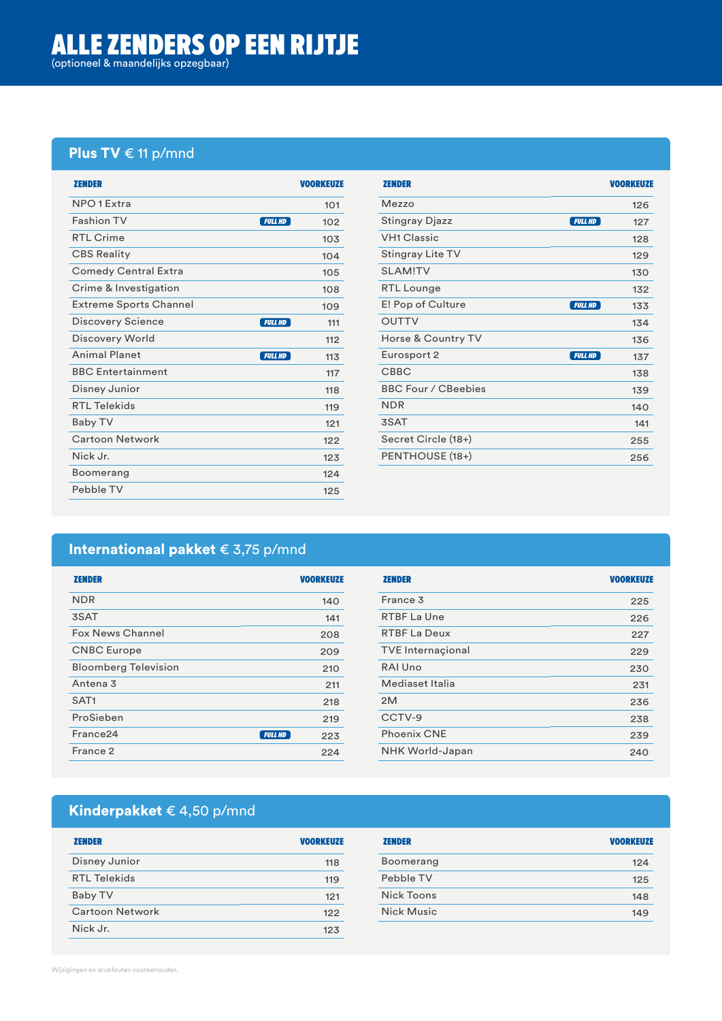#### Plus TV € 11 p/mnd

| <b>ZENDER</b>                          | <b>VOORKEUZE</b> |
|----------------------------------------|------------------|
| NPO <sub>1</sub> Extra                 | 101              |
| <b>Fashion TV</b><br><b>FULL HD</b>    | 102              |
| RTI Crime                              | 10 <sub>3</sub>  |
| <b>CBS Reality</b>                     | 104              |
| <b>Comedy Central Extra</b>            | 105              |
| Crime & Investigation                  | 108              |
| <b>Extreme Sports Channel</b>          | 109              |
| Discovery Science<br><b>FULL HD</b>    | 111              |
| Discovery World                        | 112              |
| <b>Animal Planet</b><br><b>FULL HD</b> | 113              |
| <b>BBC Entertainment</b>               | 117              |
| Disney Junior                          | 118              |
| <b>RTL Telekids</b>                    | 119              |
| Baby TV                                | 121              |
| <b>Cartoon Network</b>                 | 122              |
| Nick Jr.                               | 123              |
| Boomerang                              | 124              |
| Pebble TV                              | 125              |

| <b>ZENDER</b>                           | <b>VOORKEUZE</b> |
|-----------------------------------------|------------------|
| Mezzo                                   | 126              |
| <b>Stingray Djazz</b><br><b>FULL HD</b> | 127              |
| <b>VH1 Classic</b>                      | 128              |
| Stingray Lite TV                        | 129              |
| <b>SI AM!TV</b>                         | 130              |
| RTL Lounge                              | 132              |
| E! Pop of Culture<br><b>FULL HD</b>     | 133              |
| <b>OUTTV</b>                            | 134              |
| Horse & Country TV                      | 136              |
| Eurosport 2<br><b>FULL HD</b>           | 137              |
| <b>CBBC</b>                             | 138              |
| <b>BBC Four / CBeebies</b>              | 139              |
| <b>NDR</b>                              | 140              |
| 3SAT                                    | 141              |
| Secret Circle (18+)                     | 255              |
| PENTHOUSE (18+)                         | 256              |

#### Internationaal pakket € 3,75 p/mnd

| <b>ZENDER</b>               | <b>VOORKEUZE</b>      | <b>ZENDER</b>            | <b>VOORKEUZE</b> |
|-----------------------------|-----------------------|--------------------------|------------------|
| <b>NDR</b>                  | 140                   | France 3                 | 225              |
| 3SAT                        | 141                   | RTBF La Une              | 226              |
| Fox News Channel            | 208                   | <b>RTBF La Deux</b>      | 227              |
| <b>CNBC</b> Europe          | 209                   | <b>TVE</b> Internacional | 229              |
| <b>Bloomberg Television</b> | 210                   | RAI Uno                  | 230              |
| Antena <sub>3</sub>         | 211                   | Mediaset Italia          | 231              |
| SAT <sub>1</sub>            | 218                   | 2M                       | 236              |
| ProSieben                   | 219                   | CCTV-9                   | 238              |
| France <sub>24</sub>        | <b>FULL HD</b><br>223 | <b>Phoenix CNE</b>       | 239              |
| France 2                    | 224                   | <b>NHK World-Japan</b>   | 240              |

### Kinderpakket € 4,50 p/mnd

| <b>ZENDER</b>          | <b>VOORKEUZE</b> | <b>ZENDER</b>     | <b>VOORKEUZE</b> |
|------------------------|------------------|-------------------|------------------|
| Disney Junior          | 118              | Boomerang         | 124              |
| <b>RTL Telekids</b>    | 119              | Pebble TV         | 125              |
| Baby TV                | 121              | Nick Toons        | 148              |
| <b>Cartoon Network</b> | 122              | <b>Nick Music</b> | 149              |
| Nick Jr.               | 123              |                   |                  |